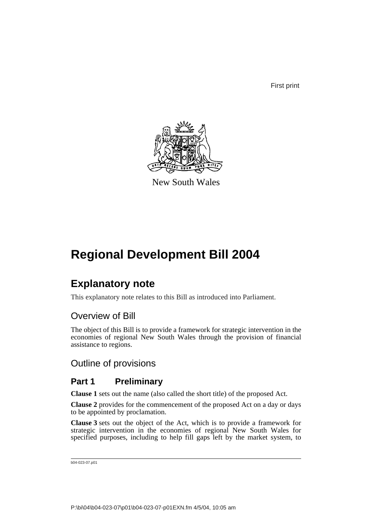First print



New South Wales

# **Regional Development Bill 2004**

## **Explanatory note**

This explanatory note relates to this Bill as introduced into Parliament.

## Overview of Bill

The object of this Bill is to provide a framework for strategic intervention in the economies of regional New South Wales through the provision of financial assistance to regions.

## Outline of provisions

## **Part 1 Preliminary**

**Clause 1** sets out the name (also called the short title) of the proposed Act.

**Clause 2** provides for the commencement of the proposed Act on a day or days to be appointed by proclamation.

**Clause 3** sets out the object of the Act, which is to provide a framework for strategic intervention in the economies of regional New South Wales for specified purposes, including to help fill gaps left by the market system, to

```
b04-023-07.p01
```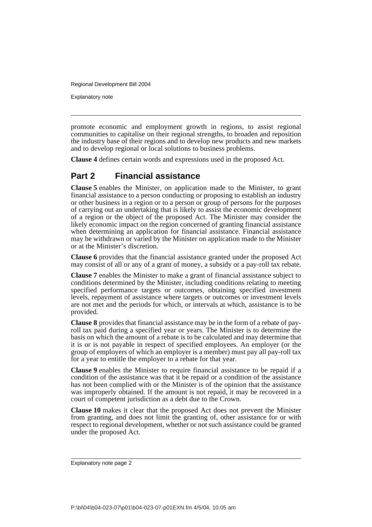Explanatory note

promote economic and employment growth in regions, to assist regional communities to capitalise on their regional strengths, to broaden and reposition the industry base of their regions and to develop new products and new markets and to develop regional or local solutions to business problems.

**Clause 4** defines certain words and expressions used in the proposed Act.

## **Part 2 Financial assistance**

**Clause 5** enables the Minister, on application made to the Minister, to grant financial assistance to a person conducting or proposing to establish an industry or other business in a region or to a person or group of persons for the purposes of carrying out an undertaking that is likely to assist the economic development of a region or the object of the proposed Act. The Minister may consider the likely economic impact on the region concerned of granting financial assistance when determining an application for financial assistance. Financial assistance may be withdrawn or varied by the Minister on application made to the Minister or at the Minister's discretion.

**Clause 6** provides that the financial assistance granted under the proposed Act may consist of all or any of a grant of money, a subsidy or a pay-roll tax rebate.

**Clause 7** enables the Minister to make a grant of financial assistance subject to conditions determined by the Minister, including conditions relating to meeting specified performance targets or outcomes, obtaining specified investment levels, repayment of assistance where targets or outcomes or investment levels are not met and the periods for which, or intervals at which, assistance is to be provided.

**Clause 8** provides that financial assistance may be in the form of a rebate of payroll tax paid during a specified year or years. The Minister is to determine the basis on which the amount of a rebate is to be calculated and may determine that it is or is not payable in respect of specified employees. An employer (or the group of employers of which an employer is a member) must pay all pay-roll tax for a year to entitle the employer to a rebate for that year.

**Clause 9** enables the Minister to require financial assistance to be repaid if a condition of the assistance was that it be repaid or a condition of the assistance has not been complied with or the Minister is of the opinion that the assistance was improperly obtained. If the amount is not repaid, it may be recovered in a court of competent jurisdiction as a debt due to the Crown.

**Clause 10** makes it clear that the proposed Act does not prevent the Minister from granting, and does not limit the granting of, other assistance for or with respect to regional development, whether or not such assistance could be granted under the proposed Act.

Explanatory note page 2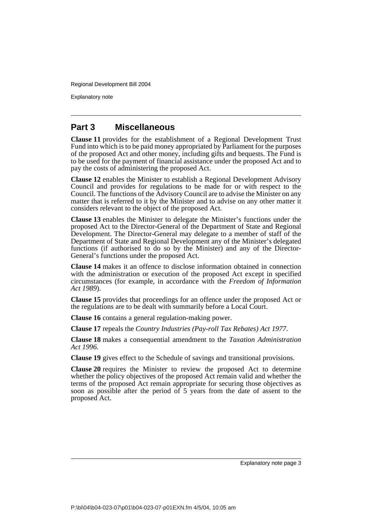Explanatory note

### **Part 3 Miscellaneous**

**Clause 11** provides for the establishment of a Regional Development Trust Fund into which is to be paid money appropriated by Parliament for the purposes of the proposed Act and other money, including gifts and bequests. The Fund is to be used for the payment of financial assistance under the proposed Act and to pay the costs of administering the proposed Act.

**Clause 12** enables the Minister to establish a Regional Development Advisory Council and provides for regulations to be made for or with respect to the Council. The functions of the Advisory Council are to advise the Minister on any matter that is referred to it by the Minister and to advise on any other matter it considers relevant to the object of the proposed Act.

**Clause 13** enables the Minister to delegate the Minister's functions under the proposed Act to the Director-General of the Department of State and Regional Development. The Director-General may delegate to a member of staff of the Department of State and Regional Development any of the Minister's delegated functions (if authorised to do so by the Minister) and any of the Director-General's functions under the proposed Act.

**Clause 14** makes it an offence to disclose information obtained in connection with the administration or execution of the proposed Act except in specified circumstances (for example, in accordance with the *Freedom of Information Act 1989*).

**Clause 15** provides that proceedings for an offence under the proposed Act or the regulations are to be dealt with summarily before a Local Court.

**Clause 16** contains a general regulation-making power.

**Clause 17** repeals the *Country Industries (Pay-roll Tax Rebates) Act 1977*.

**Clause 18** makes a consequential amendment to the *Taxation Administration Act 1996*.

**Clause 19** gives effect to the Schedule of savings and transitional provisions.

**Clause 20** requires the Minister to review the proposed Act to determine whether the policy objectives of the proposed Act remain valid and whether the terms of the proposed Act remain appropriate for securing those objectives as soon as possible after the period of 5 years from the date of assent to the proposed Act.

Explanatory note page 3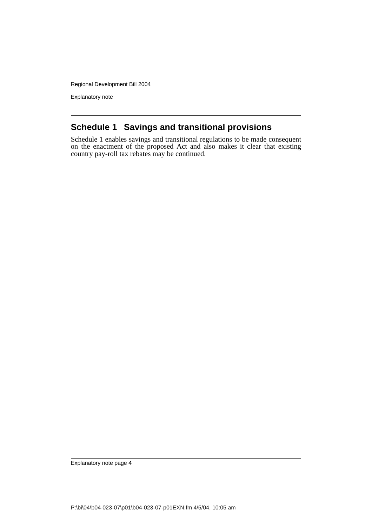Explanatory note

## **Schedule 1 Savings and transitional provisions**

Schedule 1 enables savings and transitional regulations to be made consequent on the enactment of the proposed Act and also makes it clear that existing country pay-roll tax rebates may be continued.

Explanatory note page 4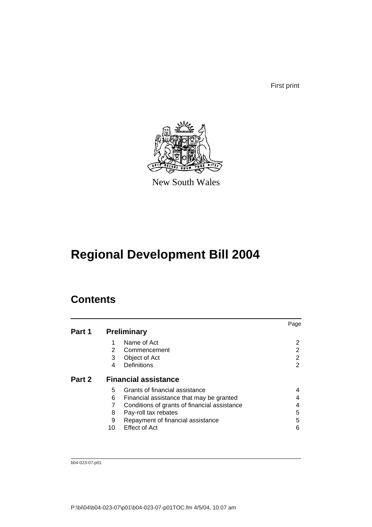First print



New South Wales

# **Regional Development Bill 2004**

## **Contents**

|        |    |                                              | Page |
|--------|----|----------------------------------------------|------|
| Part 1 |    | <b>Preliminary</b>                           |      |
|        |    | Name of Act                                  | 2    |
|        | 2  | Commencement                                 | 2    |
|        | 3  | Object of Act                                | 2    |
|        | 4  | Definitions                                  | 2    |
| Part 2 |    | <b>Financial assistance</b>                  |      |
|        | 5  | Grants of financial assistance               |      |
|        | 6  | Financial assistance that may be granted     |      |
|        |    | Conditions of grants of financial assistance |      |
|        | 8  | Pay-roll tax rebates                         | 5    |
|        | 9  | Repayment of financial assistance            | 5    |
|        | 10 | Effect of Act                                | 6    |

b04-023-07.p01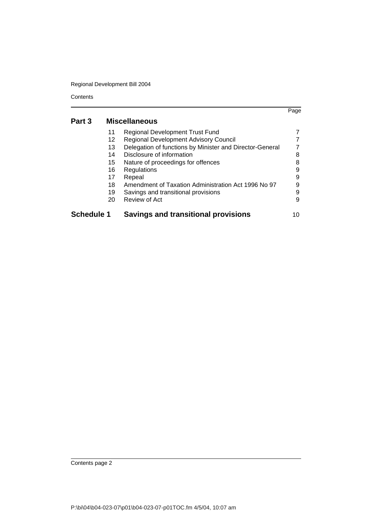**Contents** 

| Part 3            |    | <b>Miscellaneous</b>                                     |    |
|-------------------|----|----------------------------------------------------------|----|
|                   | 11 | <b>Regional Development Trust Fund</b>                   |    |
|                   | 12 | <b>Regional Development Advisory Council</b>             |    |
|                   | 13 | Delegation of functions by Minister and Director-General |    |
|                   | 14 | Disclosure of information                                | 8  |
|                   | 15 | Nature of proceedings for offences                       |    |
|                   | 16 | Regulations                                              | 9  |
|                   | 17 | Repeal                                                   | 9  |
|                   | 18 | Amendment of Taxation Administration Act 1996 No 97      | 9  |
|                   | 19 | Savings and transitional provisions                      | 9  |
|                   | 20 | Review of Act                                            | 9  |
| <b>Schedule 1</b> |    | <b>Savings and transitional provisions</b>               | 10 |

Page

Contents page 2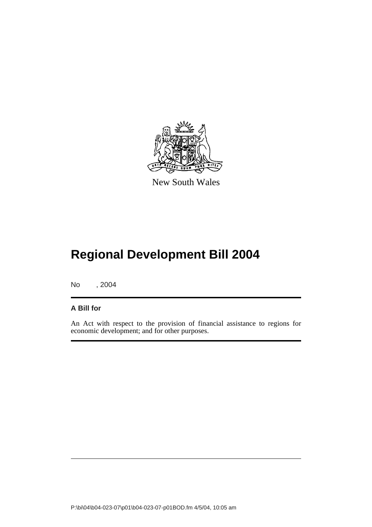

New South Wales

# **Regional Development Bill 2004**

No , 2004

### **A Bill for**

An Act with respect to the provision of financial assistance to regions for economic development; and for other purposes.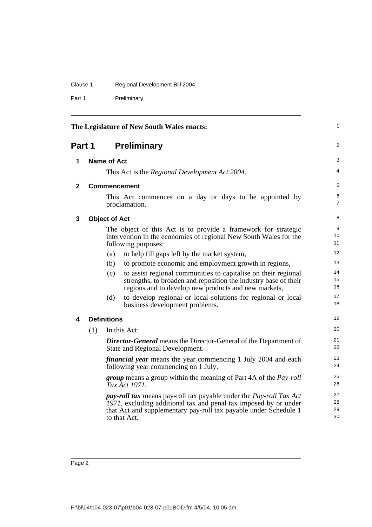### Clause 1 Regional Development Bill 2004

Part 1 Preliminary

<span id="page-7-4"></span><span id="page-7-3"></span><span id="page-7-2"></span><span id="page-7-1"></span><span id="page-7-0"></span>

| The Legislature of New South Wales enacts: |     |                      |                                                                                                                                                                                                                            |                      |  |
|--------------------------------------------|-----|----------------------|----------------------------------------------------------------------------------------------------------------------------------------------------------------------------------------------------------------------------|----------------------|--|
| <b>Preliminary</b><br>Part 1               |     |                      |                                                                                                                                                                                                                            |                      |  |
| 1                                          |     | <b>Name of Act</b>   |                                                                                                                                                                                                                            | 3                    |  |
|                                            |     |                      | This Act is the Regional Development Act 2004.                                                                                                                                                                             | 4                    |  |
| $\mathbf{2}$                               |     |                      | <b>Commencement</b>                                                                                                                                                                                                        | 5                    |  |
|                                            |     |                      | This Act commences on a day or days to be appointed by<br>proclamation.                                                                                                                                                    | 6<br>7               |  |
| 3                                          |     | <b>Object of Act</b> |                                                                                                                                                                                                                            | 8                    |  |
|                                            |     |                      | The object of this Act is to provide a framework for strategic<br>intervention in the economies of regional New South Wales for the<br>following purposes:                                                                 | 9<br>10<br>11        |  |
|                                            |     | (a)                  | to help fill gaps left by the market system,                                                                                                                                                                               | 12                   |  |
|                                            |     | (b)                  | to promote economic and employment growth in regions,                                                                                                                                                                      | 13                   |  |
|                                            |     | (c)                  | to assist regional communities to capitalise on their regional<br>strengths, to broaden and reposition the industry base of their<br>regions and to develop new products and new markets,                                  | 14<br>15<br>16       |  |
|                                            |     | (d)                  | to develop regional or local solutions for regional or local<br>business development problems.                                                                                                                             | 17<br>18             |  |
| 4                                          |     | <b>Definitions</b>   |                                                                                                                                                                                                                            | 19                   |  |
|                                            | (1) |                      | In this Act:                                                                                                                                                                                                               | 20                   |  |
|                                            |     |                      | <b>Director-General</b> means the Director-General of the Department of<br>State and Regional Development.                                                                                                                 | 21<br>22             |  |
|                                            |     |                      | <i>financial year</i> means the year commencing 1 July 2004 and each<br>following year commencing on 1 July.                                                                                                               | 23<br>24             |  |
|                                            |     |                      | <b>group</b> means a group within the meaning of Part 4A of the Pay-roll<br>Tax Act 1971.                                                                                                                                  | 25<br>26             |  |
|                                            |     |                      | pay-roll tax means pay-roll tax payable under the Pay-roll Tax Act<br>1971, excluding additional tax and penal tax imposed by or under<br>that Act and supplementary pay-roll tax payable under Schedule 1<br>to that Act. | 27<br>28<br>29<br>30 |  |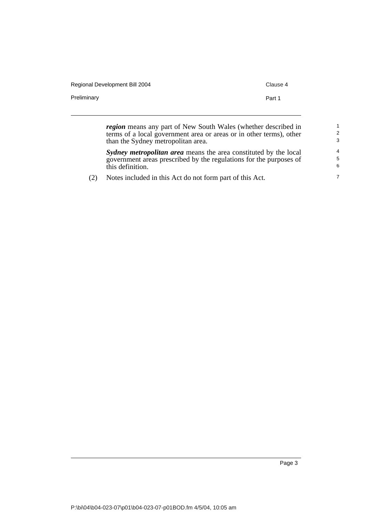| <i>region</i> means any part of New South Wales (whether described in |  |
|-----------------------------------------------------------------------|--|

terms of a local government area or areas or in other terms), other than the Sydney metropolitan area.

*Sydney metropolitan area* means the area constituted by the local government areas prescribed by the regulations for the purposes of this definition.

(2) Notes included in this Act do not form part of this Act.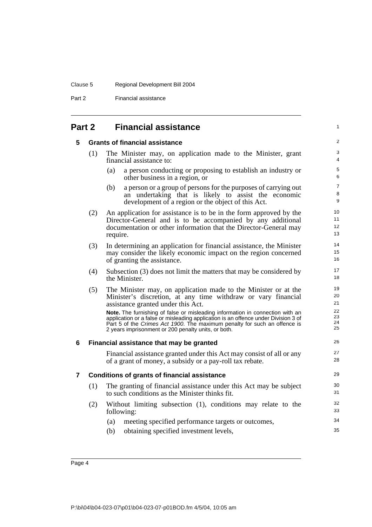#### Clause 5 Regional Development Bill 2004

Part 2 Financial assistance

### <span id="page-9-1"></span><span id="page-9-0"></span>**Part 2 Financial assistance**

#### **5 Grants of financial assistance**

| (1) | The Minister may, on application made to the Minister, grant |  |  |  |  |
|-----|--------------------------------------------------------------|--|--|--|--|
|     | financial assistance to:                                     |  |  |  |  |

(a) a person conducting or proposing to establish an industry or other business in a region, or

1

26 27 28

- (b) a person or a group of persons for the purposes of carrying out an undertaking that is likely to assist the economic development of a region or the object of this Act.
- (2) An application for assistance is to be in the form approved by the Director-General and is to be accompanied by any additional documentation or other information that the Director-General may require.
- (3) In determining an application for financial assistance, the Minister may consider the likely economic impact on the region concerned of granting the assistance.
- (4) Subsection (3) does not limit the matters that may be considered by the Minister.
- (5) The Minister may, on application made to the Minister or at the Minister's discretion, at any time withdraw or vary financial assistance granted under this Act.

**Note.** The furnishing of false or misleading information in connection with an application or a false or misleading application is an offence under Division 3 of Part 5 of the *Crimes Act 1900*. The maximum penalty for such an offence is 2 years imprisonment or 200 penalty units, or both.

#### <span id="page-9-2"></span>**6 Financial assistance that may be granted**

Financial assistance granted under this Act may consist of all or any of a grant of money, a subsidy or a pay-roll tax rebate.

#### <span id="page-9-3"></span>**7 Conditions of grants of financial assistance**

- (1) The granting of financial assistance under this Act may be subject to such conditions as the Minister thinks fit.
- (2) Without limiting subsection (1), conditions may relate to the following:
	- (a) meeting specified performance targets or outcomes,
	- (b) obtaining specified investment levels,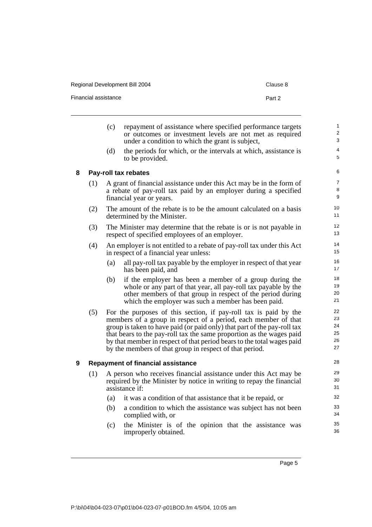| Regional Development Bill 2004 | Clause 8 |
|--------------------------------|----------|
| Financial assistance           | Part 2   |
|                                |          |

<span id="page-10-0"></span>

|   |     | (c) | repayment of assistance where specified performance targets<br>or outcomes or investment levels are not met as required<br>under a condition to which the grant is subject,                                                                                                                                                                                                                                                 | 1<br>$\overline{2}$<br>3         |
|---|-----|-----|-----------------------------------------------------------------------------------------------------------------------------------------------------------------------------------------------------------------------------------------------------------------------------------------------------------------------------------------------------------------------------------------------------------------------------|----------------------------------|
|   |     | (d) | the periods for which, or the intervals at which, assistance is<br>to be provided.                                                                                                                                                                                                                                                                                                                                          | 4<br>5                           |
| 8 |     |     | <b>Pay-roll tax rebates</b>                                                                                                                                                                                                                                                                                                                                                                                                 | 6                                |
|   | (1) |     | A grant of financial assistance under this Act may be in the form of<br>a rebate of pay-roll tax paid by an employer during a specified<br>financial year or years.                                                                                                                                                                                                                                                         | $\overline{7}$<br>8<br>9         |
|   | (2) |     | The amount of the rebate is to be the amount calculated on a basis<br>determined by the Minister.                                                                                                                                                                                                                                                                                                                           | 10<br>11                         |
|   | (3) |     | The Minister may determine that the rebate is or is not payable in<br>respect of specified employees of an employer.                                                                                                                                                                                                                                                                                                        | 12<br>13                         |
|   | (4) |     | An employer is not entitled to a rebate of pay-roll tax under this Act<br>in respect of a financial year unless:                                                                                                                                                                                                                                                                                                            | 14<br>15                         |
|   |     | (a) | all pay-roll tax payable by the employer in respect of that year<br>has been paid, and                                                                                                                                                                                                                                                                                                                                      | 16<br>17                         |
|   |     | (b) | if the employer has been a member of a group during the<br>whole or any part of that year, all pay-roll tax payable by the<br>other members of that group in respect of the period during<br>which the employer was such a member has been paid.                                                                                                                                                                            | 18<br>19<br>20<br>21             |
|   | (5) |     | For the purposes of this section, if pay-roll tax is paid by the<br>members of a group in respect of a period, each member of that<br>group is taken to have paid (or paid only) that part of the pay-roll tax<br>that bears to the pay-roll tax the same proportion as the wages paid<br>by that member in respect of that period bears to the total wages paid<br>by the members of that group in respect of that period. | 22<br>23<br>24<br>25<br>26<br>27 |
| 9 |     |     | <b>Repayment of financial assistance</b>                                                                                                                                                                                                                                                                                                                                                                                    | 28                               |
|   | (1) |     | A person who receives financial assistance under this Act may be<br>required by the Minister by notice in writing to repay the financial<br>assistance if:                                                                                                                                                                                                                                                                  | 29<br>30<br>31                   |
|   |     | (a) | it was a condition of that assistance that it be repaid, or                                                                                                                                                                                                                                                                                                                                                                 | 32                               |
|   |     | (b) | a condition to which the assistance was subject has not been<br>complied with, or                                                                                                                                                                                                                                                                                                                                           | 33<br>34                         |
|   |     | (c) | the Minister is of the opinion that the assistance was                                                                                                                                                                                                                                                                                                                                                                      | 35                               |

Page 5

36

<span id="page-10-1"></span>improperly obtained.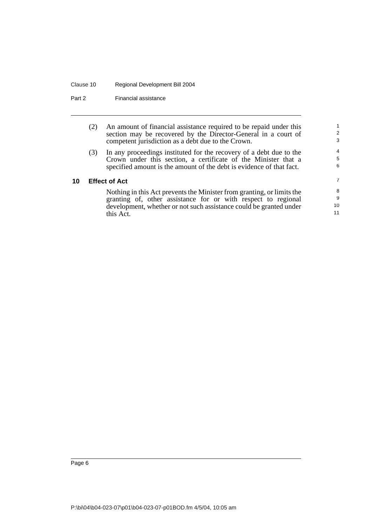#### Clause 10 Regional Development Bill 2004

Part 2 Financial assistance

| (2) | An amount of financial assistance required to be repaid under this |
|-----|--------------------------------------------------------------------|
|     | section may be recovered by the Director-General in a court of     |
|     | competent jurisdiction as a debt due to the Crown.                 |

(3) In any proceedings instituted for the recovery of a debt due to the Crown under this section, a certificate of the Minister that a specified amount is the amount of the debt is evidence of that fact.

#### <span id="page-11-0"></span>**10 Effect of Act**

Nothing in this Act prevents the Minister from granting, or limits the granting of, other assistance for or with respect to regional development, whether or not such assistance could be granted under this Act.

11

1 2 3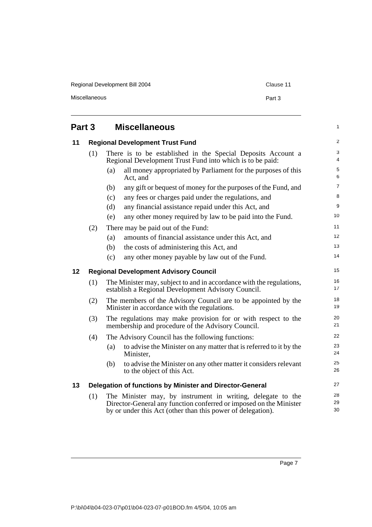Regional Development Bill 2004 Clause 11

<span id="page-12-2"></span><span id="page-12-1"></span><span id="page-12-0"></span>

| Part 3  |     | <b>Miscellaneous</b>                                                                                                                                                                             | $\mathbf{1}$   |
|---------|-----|--------------------------------------------------------------------------------------------------------------------------------------------------------------------------------------------------|----------------|
| 11      |     | <b>Regional Development Trust Fund</b>                                                                                                                                                           | 2              |
|         | (1) | There is to be established in the Special Deposits Account a<br>Regional Development Trust Fund into which is to be paid:                                                                        | 3<br>4         |
|         |     | all money appropriated by Parliament for the purposes of this<br>(a)<br>Act, and                                                                                                                 | 5<br>6         |
|         |     | any gift or bequest of money for the purposes of the Fund, and<br>(b)                                                                                                                            | $\overline{7}$ |
|         |     | any fees or charges paid under the regulations, and<br>(c)                                                                                                                                       | 8              |
|         |     | any financial assistance repaid under this Act, and<br>(d)                                                                                                                                       | 9              |
|         |     | any other money required by law to be paid into the Fund.<br>(e)                                                                                                                                 | 10             |
|         | (2) | There may be paid out of the Fund:                                                                                                                                                               | 11             |
|         |     | amounts of financial assistance under this Act, and<br>(a)                                                                                                                                       | 12             |
|         |     | (b)<br>the costs of administering this Act, and                                                                                                                                                  | 13             |
|         |     | any other money payable by law out of the Fund.<br>(c)                                                                                                                                           | 14             |
| $12 \,$ |     | <b>Regional Development Advisory Council</b>                                                                                                                                                     | 15             |
|         | (1) | The Minister may, subject to and in accordance with the regulations,<br>establish a Regional Development Advisory Council.                                                                       | 16<br>17       |
|         | (2) | The members of the Advisory Council are to be appointed by the<br>Minister in accordance with the regulations.                                                                                   | 18<br>19       |
|         | (3) | The regulations may make provision for or with respect to the<br>membership and procedure of the Advisory Council.                                                                               | 20<br>21       |
|         | (4) | The Advisory Council has the following functions:                                                                                                                                                | 22             |
|         |     | to advise the Minister on any matter that is referred to it by the<br>(a)<br>Minister,                                                                                                           | 23<br>24       |
|         |     | to advise the Minister on any other matter it considers relevant<br>(b)<br>to the object of this Act.                                                                                            | 25<br>26       |
| 13      |     | Delegation of functions by Minister and Director-General                                                                                                                                         | 27             |
|         | (1) | The Minister may, by instrument in writing, delegate to the<br>Director-General any function conferred or imposed on the Minister<br>by or under this Act (other than this power of delegation). | 28<br>29<br>30 |

<span id="page-12-3"></span>Page 7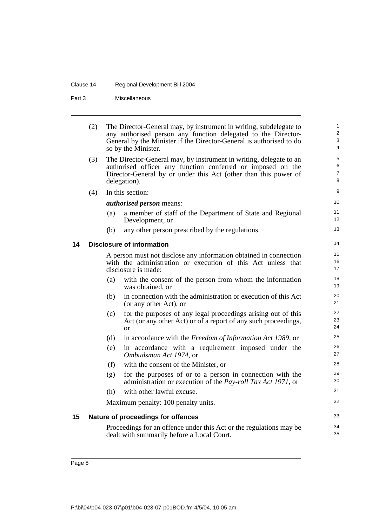#### Clause 14 Regional Development Bill 2004

Part 3 Miscellaneous

<span id="page-13-0"></span>

|    | (2) |     | The Director-General may, by instrument in writing, subdelegate to<br>any authorised person any function delegated to the Director-<br>General by the Minister if the Director-General is authorised to do<br>so by the Minister. | $\mathbf{1}$<br>$\overline{2}$<br>3<br>4 |
|----|-----|-----|-----------------------------------------------------------------------------------------------------------------------------------------------------------------------------------------------------------------------------------|------------------------------------------|
|    | (3) |     | The Director-General may, by instrument in writing, delegate to an<br>authorised officer any function conferred or imposed on the<br>Director-General by or under this Act (other than this power of<br>delegation).              | 5<br>6<br>$\overline{7}$<br>8            |
|    | (4) |     | In this section:                                                                                                                                                                                                                  | 9                                        |
|    |     |     | <i>authorised person</i> means:                                                                                                                                                                                                   | 10                                       |
|    |     | (a) | a member of staff of the Department of State and Regional<br>Development, or                                                                                                                                                      | 11<br>12                                 |
|    |     | (b) | any other person prescribed by the regulations.                                                                                                                                                                                   | 13                                       |
| 14 |     |     | Disclosure of information                                                                                                                                                                                                         | 14                                       |
|    |     |     | A person must not disclose any information obtained in connection                                                                                                                                                                 | 15                                       |
|    |     |     | with the administration or execution of this Act unless that<br>disclosure is made:                                                                                                                                               | 16<br>17                                 |
|    |     | (a) | with the consent of the person from whom the information<br>was obtained, or                                                                                                                                                      | 18<br>19                                 |
|    |     | (b) | in connection with the administration or execution of this Act<br>(or any other Act), or                                                                                                                                          | 20<br>21                                 |
|    |     | (c) | for the purposes of any legal proceedings arising out of this<br>Act (or any other Act) or of a report of any such proceedings,<br><b>or</b>                                                                                      | 22<br>23<br>24                           |
|    |     | (d) | in accordance with the Freedom of Information Act 1989, or                                                                                                                                                                        | 25                                       |
|    |     | (e) | in accordance with a requirement imposed under the<br>Ombudsman Act 1974, or                                                                                                                                                      | 26<br>27                                 |
|    |     | (f) | with the consent of the Minister, or                                                                                                                                                                                              | 28                                       |
|    |     | (g) | for the purposes of or to a person in connection with the<br>administration or execution of the Pay-roll Tax Act 1971, or                                                                                                         | 29<br>30                                 |
|    |     | (h) | with other lawful excuse.                                                                                                                                                                                                         | 31                                       |
|    |     |     | Maximum penalty: 100 penalty units.                                                                                                                                                                                               | 32                                       |
| 15 |     |     | Nature of proceedings for offences                                                                                                                                                                                                | 33                                       |
|    |     |     | Proceedings for an offence under this Act or the regulations may be                                                                                                                                                               | 34                                       |
|    |     |     | dealt with summarily before a Local Court.                                                                                                                                                                                        | 35                                       |
|    |     |     |                                                                                                                                                                                                                                   |                                          |

<span id="page-13-1"></span>Page 8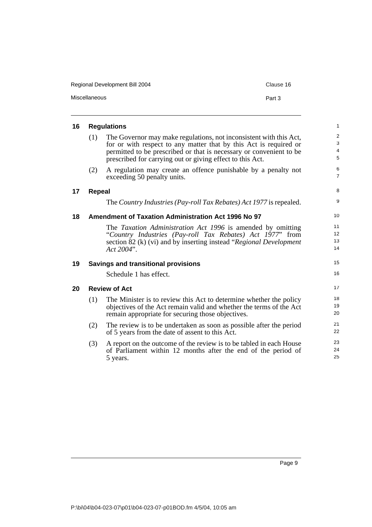| Regional Development Bill 2004 | Clause 16 |
|--------------------------------|-----------|
| Miscellaneous                  | Part 3    |

<span id="page-14-4"></span><span id="page-14-3"></span><span id="page-14-2"></span><span id="page-14-1"></span><span id="page-14-0"></span>

|     |                                                                                                                                                                                                                                                                             | $\mathbf{1}$                                                                                                                                                     |
|-----|-----------------------------------------------------------------------------------------------------------------------------------------------------------------------------------------------------------------------------------------------------------------------------|------------------------------------------------------------------------------------------------------------------------------------------------------------------|
| (1) | The Governor may make regulations, not inconsistent with this Act,<br>for or with respect to any matter that by this Act is required or<br>permitted to be prescribed or that is necessary or convenient to be<br>prescribed for carrying out or giving effect to this Act. | $\overline{2}$<br>3<br>$\overline{\mathbf{4}}$<br>$\sqrt{5}$                                                                                                     |
| (2) | A regulation may create an offence punishable by a penalty not<br>exceeding 50 penalty units.                                                                                                                                                                               | 6<br>$\overline{7}$                                                                                                                                              |
|     |                                                                                                                                                                                                                                                                             | 8                                                                                                                                                                |
|     | The Country Industries (Pay-roll Tax Rebates) Act 1977 is repealed.                                                                                                                                                                                                         | 9                                                                                                                                                                |
|     |                                                                                                                                                                                                                                                                             | 10                                                                                                                                                               |
|     | The Taxation Administration Act 1996 is amended by omitting<br>"Country Industries (Pay-roll Tax Rebates) Act 1977" from<br>section 82 (k) (vi) and by inserting instead "Regional Development"<br>$Act 2004"$ .                                                            | 11<br>12<br>13<br>14                                                                                                                                             |
|     |                                                                                                                                                                                                                                                                             | 15                                                                                                                                                               |
|     | Schedule 1 has effect.                                                                                                                                                                                                                                                      | 16                                                                                                                                                               |
|     |                                                                                                                                                                                                                                                                             | 17                                                                                                                                                               |
| (1) | The Minister is to review this Act to determine whether the policy<br>objectives of the Act remain valid and whether the terms of the Act<br>remain appropriate for securing those objectives.                                                                              | 18<br>19<br>20                                                                                                                                                   |
| (2) | The review is to be undertaken as soon as possible after the period<br>of 5 years from the date of assent to this Act.                                                                                                                                                      | 21<br>22                                                                                                                                                         |
| (3) | A report on the outcome of the review is to be tabled in each House<br>of Parliament within 12 months after the end of the period of<br>5 years.                                                                                                                            | 23<br>24<br>25                                                                                                                                                   |
|     |                                                                                                                                                                                                                                                                             | <b>Regulations</b><br><b>Repeal</b><br>Amendment of Taxation Administration Act 1996 No 97<br><b>Savings and transitional provisions</b><br><b>Review of Act</b> |